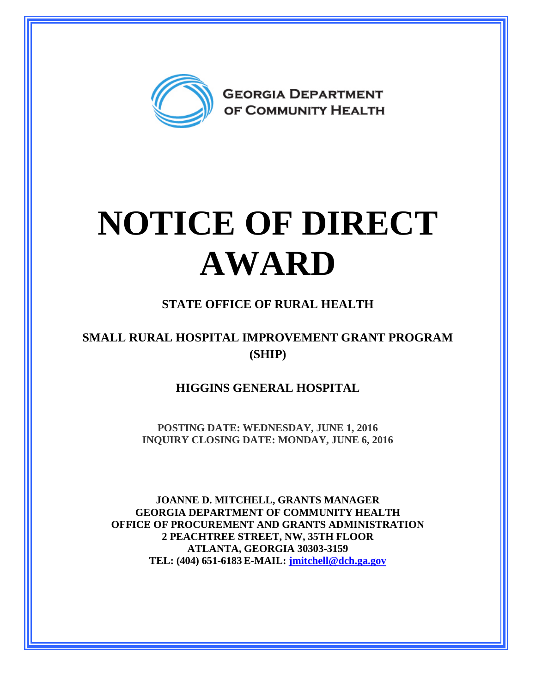

# **NOTICE OF DIRECT AWARD**

### **STATE OFFICE OF RURAL HEALTH**

### **SMALL RURAL HOSPITAL IMPROVEMENT GRANT PROGRAM (SHIP)**

#### **HIGGINS GENERAL HOSPITAL**

**POSTING DATE: WEDNESDAY, JUNE 1, 2016 INQUIRY CLOSING DATE: MONDAY, JUNE 6, 2016** 

**JOANNE D. MITCHELL, GRANTS MANAGER GEORGIA DEPARTMENT OF COMMUNITY HEALTH OFFICE OF PROCUREMENT AND GRANTS ADMINISTRATION 2 PEACHTREE STREET, NW, 35TH FLOOR ATLANTA, GEORGIA 30303-3159 TEL: (404) 651-6183 E-MAIL: [jmitchell@dch.ga.gov](mailto:awatson@dch.ga.gov)**